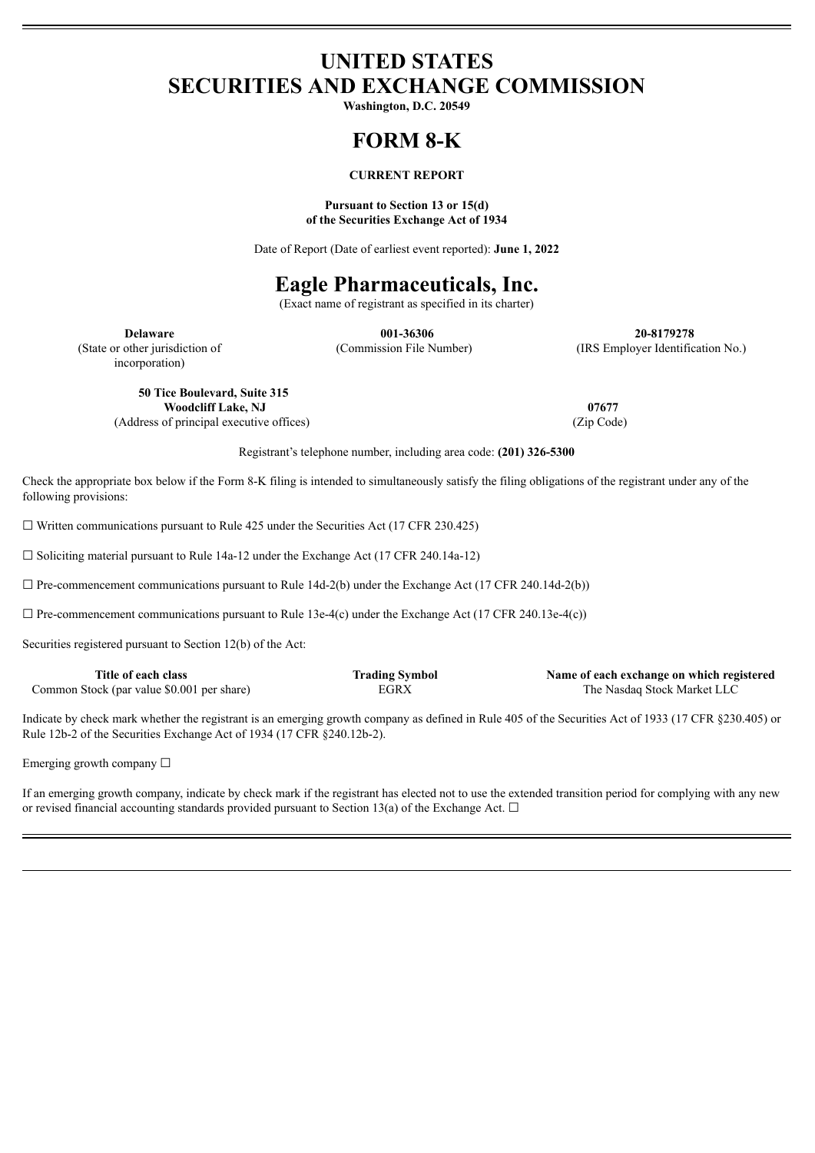## **UNITED STATES SECURITIES AND EXCHANGE COMMISSION**

**Washington, D.C. 20549**

# **FORM 8-K**

## **CURRENT REPORT**

#### **Pursuant to Section 13 or 15(d) of the Securities Exchange Act of 1934**

Date of Report (Date of earliest event reported): **June 1, 2022**

## **Eagle Pharmaceuticals, Inc.**

(Exact name of registrant as specified in its charter)

incorporation)

**Delaware 001-36306 20-8179278** (State or other jurisdiction of (Commission File Number) (IRS Employer Identification No.)

**50 Tice Boulevard, Suite 315 Woodcliff Lake, NJ 07677**

(Address of principal executive offices) (Zip Code)

Registrant's telephone number, including area code: **(201) 326-5300**

Check the appropriate box below if the Form 8-K filing is intended to simultaneously satisfy the filing obligations of the registrant under any of the following provisions:

 $\Box$  Written communications pursuant to Rule 425 under the Securities Act (17 CFR 230.425)

☐ Soliciting material pursuant to Rule 14a-12 under the Exchange Act (17 CFR 240.14a-12)

 $\Box$  Pre-commencement communications pursuant to Rule 14d-2(b) under the Exchange Act (17 CFR 240.14d-2(b))

 $\Box$  Pre-commencement communications pursuant to Rule 13e-4(c) under the Exchange Act (17 CFR 240.13e-4(c))

Securities registered pursuant to Section 12(b) of the Act:

| Title of each class                        | <b>Trading Symbol</b> | Name of each exchange on which registered |
|--------------------------------------------|-----------------------|-------------------------------------------|
| Common Stock (par value \$0.001 per share) | EGRX                  | The Nasdaq Stock Market LLC               |

Indicate by check mark whether the registrant is an emerging growth company as defined in Rule 405 of the Securities Act of 1933 (17 CFR §230.405) or Rule 12b-2 of the Securities Exchange Act of 1934 (17 CFR §240.12b-2).

Emerging growth company  $\Box$ 

If an emerging growth company, indicate by check mark if the registrant has elected not to use the extended transition period for complying with any new or revised financial accounting standards provided pursuant to Section 13(a) of the Exchange Act.  $\Box$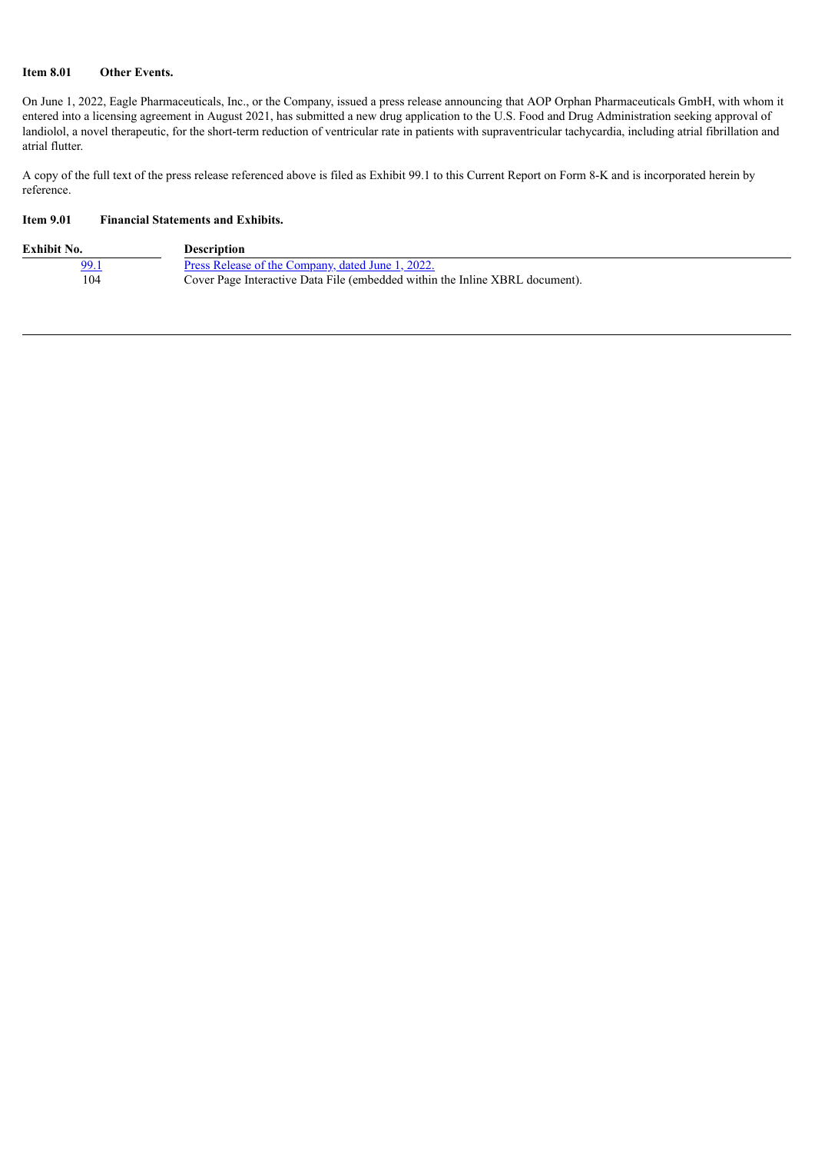## **Item 8.01 Other Events.**

On June 1, 2022, Eagle Pharmaceuticals, Inc., or the Company, issued a press release announcing that AOP Orphan Pharmaceuticals GmbH, with whom it entered into a licensing agreement in August 2021, has submitted a new drug application to the U.S. Food and Drug Administration seeking approval of landiolol, a novel therapeutic, for the short-term reduction of ventricular rate in patients with supraventricular tachycardia, including atrial fibrillation and atrial flutter.

A copy of the full text of the press release referenced above is filed as Exhibit 99.1 to this Current Report on Form 8-K and is incorporated herein by reference.

### **Item 9.01 Financial Statements and Exhibits.**

| <b>Exhibit No.</b> | Description                                                                  |
|--------------------|------------------------------------------------------------------------------|
| 99.1               | <u>Press Release of the Company, dated June 1, 2022.</u>                     |
| 104                | Cover Page Interactive Data File (embedded within the Inline XBRL document). |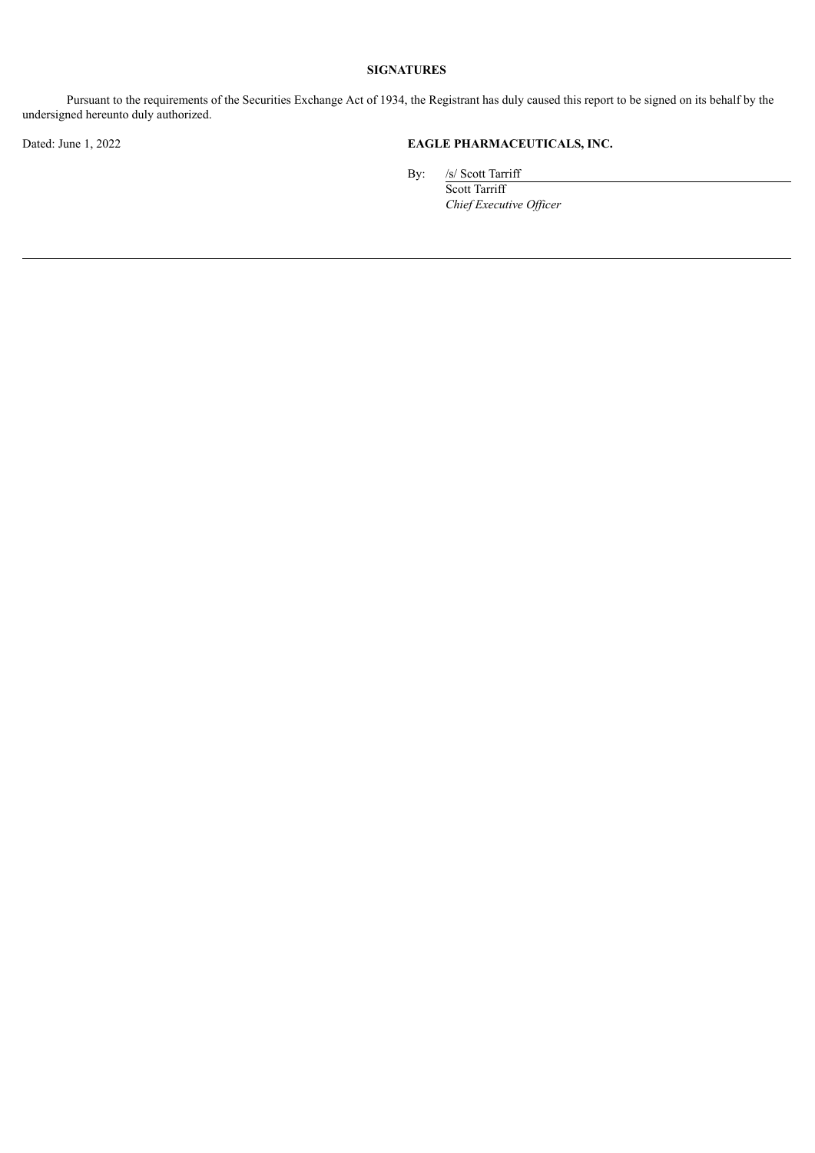## **SIGNATURES**

Pursuant to the requirements of the Securities Exchange Act of 1934, the Registrant has duly caused this report to be signed on its behalf by the undersigned hereunto duly authorized.

## Dated: June 1, 2022 **EAGLE PHARMACEUTICALS, INC.**

By: /s/ Scott Tarriff

Scott Tarriff *Chief Executive Of icer*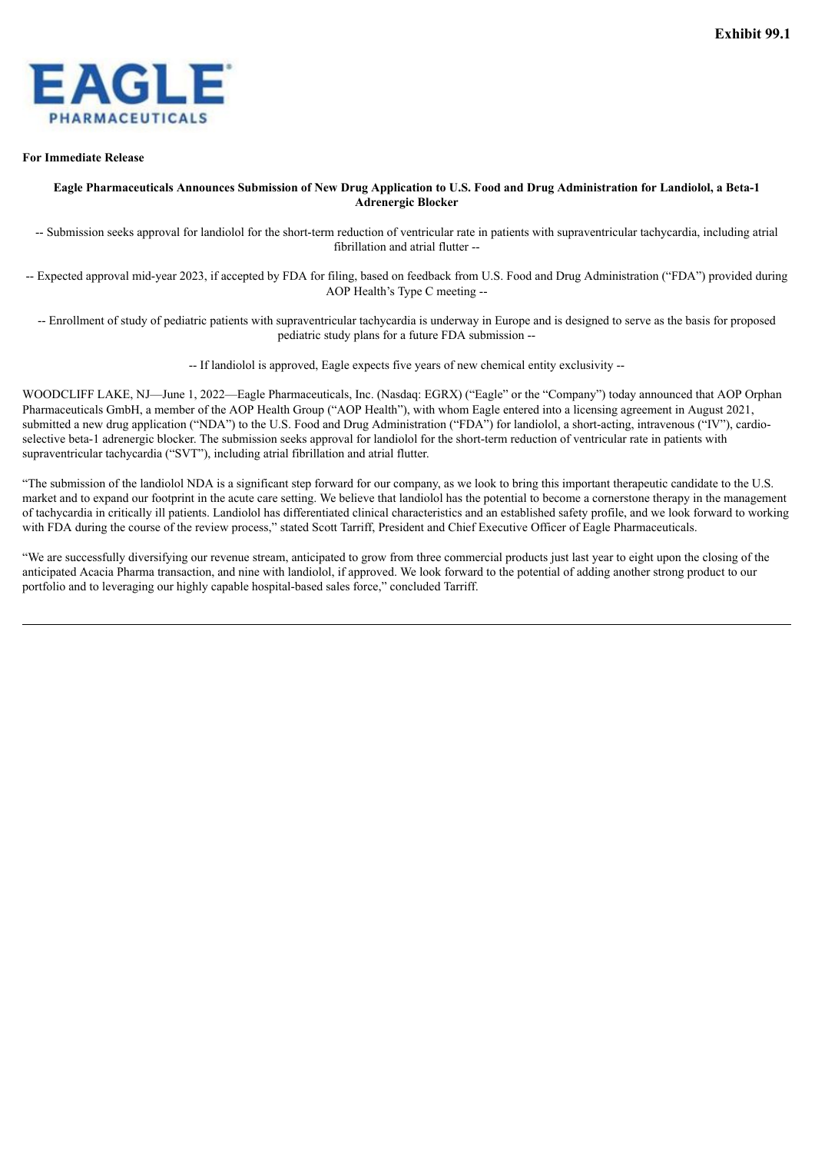<span id="page-3-0"></span>

#### **For Immediate Release**

### Eagle Pharmaceuticals Announces Submission of New Drug Application to U.S. Food and Drug Administration for Landiolol, a Beta-1 **Adrenergic Blocker**

-- Submission seeks approval for landiolol for the short-term reduction of ventricular rate in patients with supraventricular tachycardia, including atrial fibrillation and atrial flutter --

-- Expected approval mid-year 2023, if accepted by FDA for filing, based on feedback from U.S. Food and Drug Administration ("FDA") provided during AOP Health's Type C meeting --

-- Enrollment of study of pediatric patients with supraventricular tachycardia is underway in Europe and is designed to serve as the basis for proposed pediatric study plans for a future FDA submission --

-- If landiolol is approved, Eagle expects five years of new chemical entity exclusivity --

WOODCLIFF LAKE, NJ—June 1, 2022—Eagle Pharmaceuticals, Inc. (Nasdaq: EGRX) ("Eagle" or the "Company") today announced that AOP Orphan Pharmaceuticals GmbH, a member of the AOP Health Group ("AOP Health"), with whom Eagle entered into a licensing agreement in August 2021, submitted a new drug application ("NDA") to the U.S. Food and Drug Administration ("FDA") for landiolol, a short-acting, intravenous ("IV"), cardioselective beta-1 adrenergic blocker. The submission seeks approval for landiolol for the short-term reduction of ventricular rate in patients with supraventricular tachycardia ("SVT"), including atrial fibrillation and atrial flutter.

"The submission of the landiolol NDA is a significant step forward for our company, as we look to bring this important therapeutic candidate to the U.S. market and to expand our footprint in the acute care setting. We believe that landiolol has the potential to become a cornerstone therapy in the management of tachycardia in critically ill patients. Landiolol has differentiated clinical characteristics and an established safety profile, and we look forward to working with FDA during the course of the review process," stated Scott Tarriff, President and Chief Executive Officer of Eagle Pharmaceuticals.

"We are successfully diversifying our revenue stream, anticipated to grow from three commercial products just last year to eight upon the closing of the anticipated Acacia Pharma transaction, and nine with landiolol, if approved. We look forward to the potential of adding another strong product to our portfolio and to leveraging our highly capable hospital-based sales force," concluded Tarriff.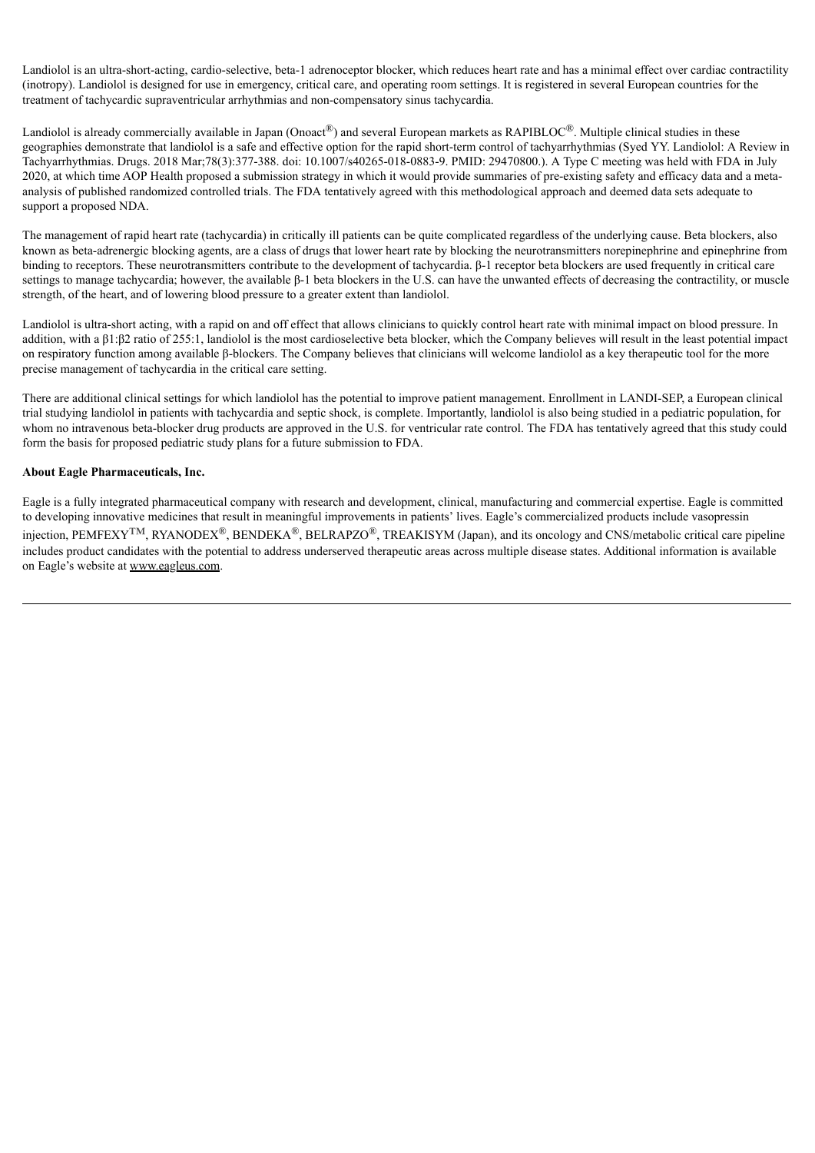Landiolol is an ultra-short-acting, cardio-selective, beta-1 adrenoceptor blocker, which reduces heart rate and has a minimal effect over cardiac contractility (inotropy). Landiolol is designed for use in emergency, critical care, and operating room settings. It is registered in several European countries for the treatment of tachycardic supraventricular arrhythmias and non-compensatory sinus tachycardia.

Landiolol is already commercially available in Japan (Onoact®) and several European markets as RAPIBLOC®. Multiple clinical studies in these geographies demonstrate that landiolol is a safe and effective option for the rapid short-term control of tachyarrhythmias (Syed YY. Landiolol: A Review in Tachyarrhythmias. Drugs. 2018 Mar;78(3):377-388. doi: 10.1007/s40265-018-0883-9. PMID: 29470800.). A Type C meeting was held with FDA in July 2020, at which time AOP Health proposed a submission strategy in which it would provide summaries of pre-existing safety and efficacy data and a metaanalysis of published randomized controlled trials. The FDA tentatively agreed with this methodological approach and deemed data sets adequate to support a proposed NDA.

The management of rapid heart rate (tachycardia) in critically ill patients can be quite complicated regardless of the underlying cause. Beta blockers, also known as beta-adrenergic blocking agents, are a class of drugs that lower heart rate by blocking the neurotransmitters norepinephrine and epinephrine from binding to receptors. These neurotransmitters contribute to the development of tachycardia. β-1 receptor beta blockers are used frequently in critical care settings to manage tachycardia; however, the available β-1 beta blockers in the U.S. can have the unwanted effects of decreasing the contractility, or muscle strength, of the heart, and of lowering blood pressure to a greater extent than landiolol.

Landiolol is ultra-short acting, with a rapid on and off effect that allows clinicians to quickly control heart rate with minimal impact on blood pressure. In addition, with a β1:β2 ratio of 255:1, landiolol is the most cardioselective beta blocker, which the Company believes will result in the least potential impact on respiratory function among available β-blockers. The Company believes that clinicians will welcome landiolol as a key therapeutic tool for the more precise management of tachycardia in the critical care setting.

There are additional clinical settings for which landiolol has the potential to improve patient management. Enrollment in LANDI-SEP, a European clinical trial studying landiolol in patients with tachycardia and septic shock, is complete. Importantly, landiolol is also being studied in a pediatric population, for whom no intravenous beta-blocker drug products are approved in the U.S. for ventricular rate control. The FDA has tentatively agreed that this study could form the basis for proposed pediatric study plans for a future submission to FDA.

#### **About Eagle Pharmaceuticals, Inc.**

Eagle is a fully integrated pharmaceutical company with research and development, clinical, manufacturing and commercial expertise. Eagle is committed to developing innovative medicines that result in meaningful improvements in patients' lives. Eagle's commercialized products include vasopressin injection, PEMFEXY<sup>TM</sup>, RYANODEX<sup>®</sup>, BENDEKA<sup>®</sup>, BELRAPZO<sup>®</sup>, TREAKISYM (Japan), and its oncology and CNS/metabolic critical care pipeline includes product candidates with the potential to address underserved therapeutic areas across multiple disease states. Additional information is available on Eagle's website at www.eagleus.com.